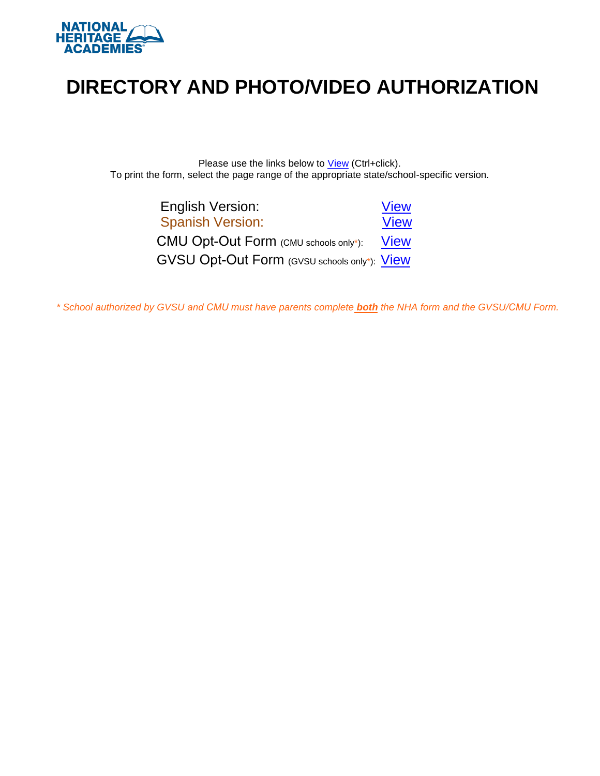

# **DIRECTORY AND PHOTO/VIDEO AUTHORIZATION**

Please use the links below to **View** (Ctrl+click). To print the form, select the page range of the appropriate state/school-specific version.

| <b>English Version:</b>                      | <b>View</b> |
|----------------------------------------------|-------------|
| <b>Spanish Version:</b>                      | <b>View</b> |
| CMU Opt-Out Form (CMU schools only*):        | <b>View</b> |
| GVSU Opt-Out Form (GVSU schools only*): View |             |

*\* School authorized by GVSU and CMU must have parents complete both the NHA form and the GVSU/CMU Form.*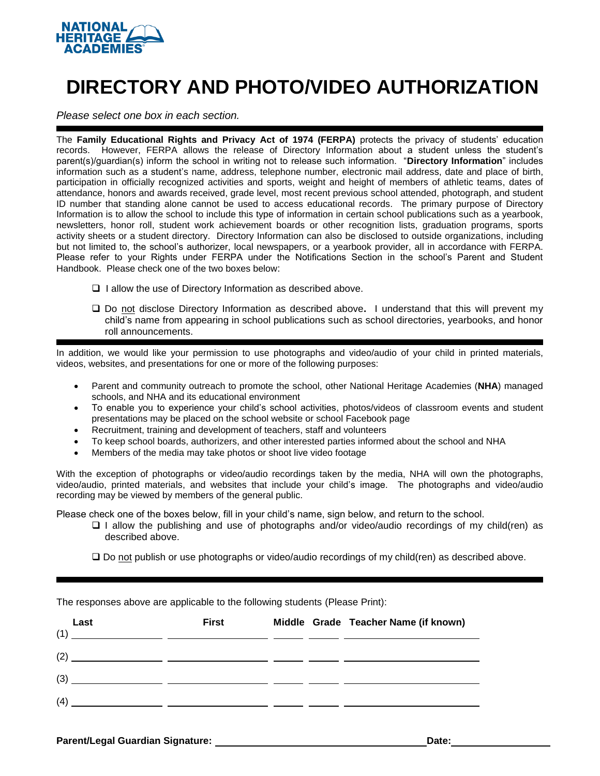<span id="page-1-1"></span>

# **DIRECTORY AND PHOTO/VIDEO AUTHORIZATION**

<span id="page-1-0"></span>*Please select one box in each section.*

The **Family Educational Rights and Privacy Act of 1974 (FERPA)** protects the privacy of students' education records. However, FERPA allows the release of Directory Information about a student unless the student's parent(s)/guardian(s) inform the school in writing not to release such information. "**Directory Information**" includes information such as a student's name, address, telephone number, electronic mail address, date and place of birth, participation in officially recognized activities and sports, weight and height of members of athletic teams, dates of attendance, honors and awards received, grade level, most recent previous school attended, photograph, and student ID number that standing alone cannot be used to access educational records. The primary purpose of Directory Information is to allow the school to include this type of information in certain school publications such as a yearbook, newsletters, honor roll, student work achievement boards or other recognition lists, graduation programs, sports activity sheets or a student directory. Directory Information can also be disclosed to outside organizations, including but not limited to, the school's authorizer, local newspapers, or a yearbook provider, all in accordance with FERPA. Please refer to your Rights under FERPA under the Notifications Section in the school's Parent and Student Handbook. Please check one of the two boxes below:

- ❑ I allow the use of Directory Information as described above.
- ❑ Do not disclose Directory Information as described above**.** I understand that this will prevent my child's name from appearing in school publications such as school directories, yearbooks, and honor roll announcements.

In addition, we would like your permission to use photographs and video/audio of your child in printed materials, videos, websites, and presentations for one or more of the following purposes:

- Parent and community outreach to promote the school, other National Heritage Academies (**NHA**) managed schools, and NHA and its educational environment
- To enable you to experience your child's school activities, photos/videos of classroom events and student presentations may be placed on the school website or school Facebook page
- Recruitment, training and development of teachers, staff and volunteers
- To keep school boards, authorizers, and other interested parties informed about the school and NHA
- Members of the media may take photos or shoot live video footage

With the exception of photographs or video/audio recordings taken by the media, NHA will own the photographs, video/audio, printed materials, and websites that include your child's image. The photographs and video/audio recording may be viewed by members of the general public.

Please check one of the boxes below, fill in your child's name, sign below, and return to the school.

- ❑ I allow the publishing and use of photographs and/or video/audio recordings of my child(ren) as described above.
- ❑ Do not publish or use photographs or video/audio recordings of my child(ren) as described above.

| Last<br>(1) | <b>First</b> |  | Middle Grade Teacher Name (if known) |
|-------------|--------------|--|--------------------------------------|
| (2)         |              |  |                                      |
| (3)         |              |  |                                      |
| (4)         |              |  |                                      |

The responses above are applicable to the following students (Please Print):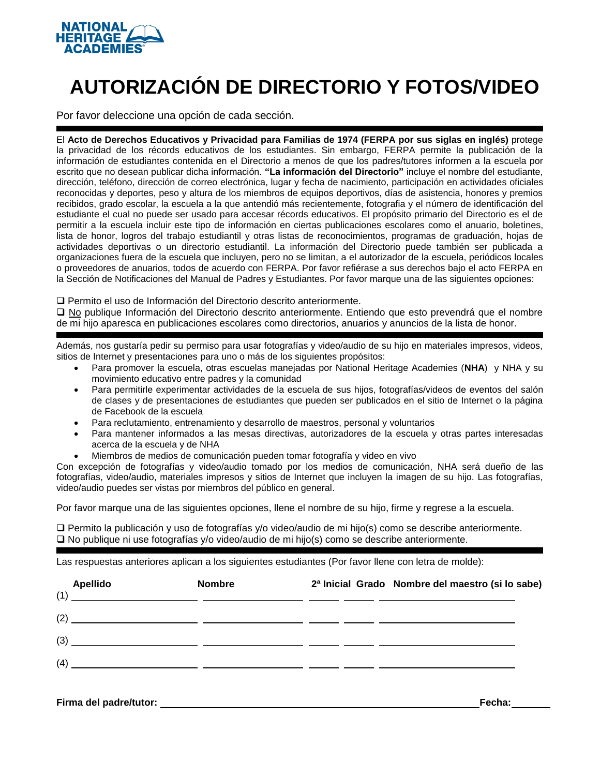<span id="page-2-1"></span>

# **AUTORIZACIÓN DE DIRECTORIO Y FOTOS/VIDEO**

<span id="page-2-0"></span>Por favor deleccione una opción de cada sección.

El **Acto de Derechos Educativos y Privacidad para Familias de 1974 (FERPA por sus siglas en inglés)** protege la privacidad de los récords educativos de los estudiantes. Sin embargo, FERPA permite la publicación de la información de estudiantes contenida en el Directorio a menos de que los padres/tutores informen a la escuela por escrito que no desean publicar dicha información. **"La información del Directorio"** incluye el nombre del estudiante, dirección, teléfono, dirección de correo electrónica, lugar y fecha de nacimiento, participación en actividades oficiales reconocidas y deportes, peso y altura de los miembros de equipos deportivos, días de asistencia, honores y premios recibidos, grado escolar, la escuela a la que antendió más recientemente, fotografia y el número de identificación del estudiante el cual no puede ser usado para accesar récords educativos. El propósito primario del Directorio es el de permitir a la escuela incluir este tipo de información en ciertas publicaciones escolares como el anuario, boletines, lista de honor, logros del trabajo estudiantil y otras listas de reconocimientos, programas de graduación, hojas de actividades deportivas o un directorio estudiantil. La información del Directorio puede también ser publicada a organizaciones fuera de la escuela que incluyen, pero no se limitan, a el autorizador de la escuela, periódicos locales o proveedores de anuarios, todos de acuerdo con FERPA. Por favor refiérase a sus derechos bajo el acto FERPA en la Sección de Notificaciones del Manual de Padres y Estudiantes. Por favor marque una de las siguientes opciones:

❑ Permito el uso de Información del Directorio descrito anteriormente.

❑ No publique Información del Directorio descrito anteriormente. Entiendo que esto prevendrá que el nombre de mi hijo aparesca en publicaciones escolares como directorios, anuarios y anuncios de la lista de honor.

Además, nos gustaría pedir su permiso para usar fotografías y video/audio de su hijo en materiales impresos, videos, sitios de Internet y presentaciones para uno o más de los siguientes propósitos:

- Para promover la escuela, otras escuelas manejadas por National Heritage Academies (**NHA**) y NHA y su movimiento educativo entre padres y la comunidad
- Para permitirle experimentar actividades de la escuela de sus hijos, fotografías/videos de eventos del salón de clases y de presentaciones de estudiantes que pueden ser publicados en el sitio de Internet o la página de Facebook de la escuela
- Para reclutamiento, entrenamiento y desarrollo de maestros, personal y voluntarios
- Para mantener informados a las mesas directivas, autorizadores de la escuela y otras partes interesadas acerca de la escuela y de NHA
- Miembros de medios de comunicación pueden tomar fotografía y video en vivo

Con excepción de fotografías y video/audio tomado por los medios de comunicación, NHA será dueño de las fotografías, video/audio, materiales impresos y sitios de Internet que incluyen la imagen de su hijo. Las fotografías, video/audio puedes ser vistas por miembros del público en general.

Por favor marque una de las siguientes opciones, llene el nombre de su hijo, firme y regrese a la escuela.

❑ Permito la publicación y uso de fotografías y/o video/audio de mi hijo(s) como se describe anteriormente. ❑ No publique ni use fotografías y/o video/audio de mi hijo(s) como se describe anteriormente.

Las respuestas anteriores aplican a los siguientes estudiantes (Por favor llene con letra de molde):

| <b>Apellido</b> | <b>Nombre</b> | 2ª Inicial Grado Nombre del maestro (si lo sabe)                                                                      |
|-----------------|---------------|-----------------------------------------------------------------------------------------------------------------------|
| (1)             |               |                                                                                                                       |
| (2)             |               | <u> 1999 - Jan James James James James (1999), president politik (</u>                                                |
| (3)             |               | <u> 1999 - Jan James James, maria al-Amerikaan (h. 1982).</u>                                                         |
| (4)             |               | <u> 1990 - Andrea Andrea Andrea Andrea Andrea Andrea Andrea Andrea Andrea Andrea Andrea Andrea Andrea Andrea Andr</u> |
|                 |               |                                                                                                                       |

**Firma del padre/tutor: Fecha:**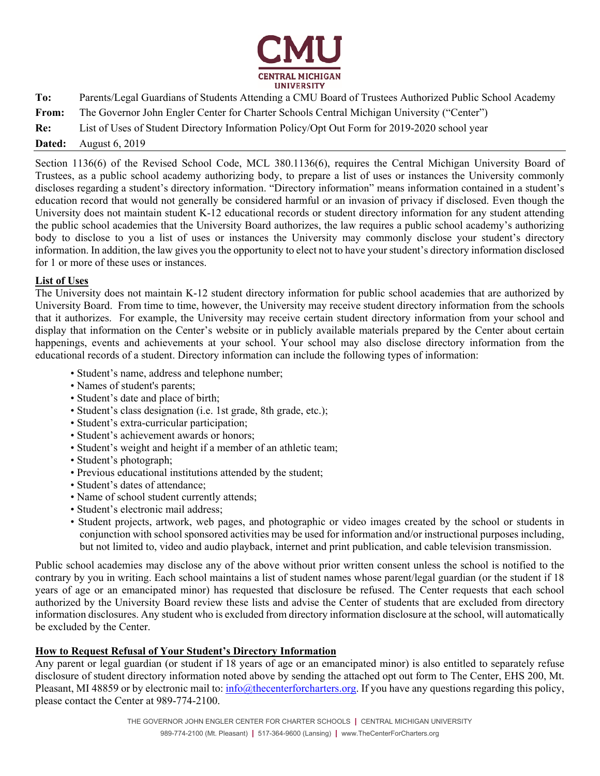

<span id="page-3-0"></span>

| To:    | Parents/Legal Guardians of Students Attending a CMU Board of Trustees Authorized Public School Academy |
|--------|--------------------------------------------------------------------------------------------------------|
| From:  | The Governor John Engler Center for Charter Schools Central Michigan University ("Center")             |
| Re:    | List of Uses of Student Directory Information Policy/Opt Out Form for 2019-2020 school year            |
| Dated: | August 6, 2019                                                                                         |

Section 1136(6) of the Revised School Code, MCL 380.1136(6), requires the Central Michigan University Board of Trustees, as a public school academy authorizing body, to prepare a list of uses or instances the University commonly discloses regarding a student's directory information. "Directory information" means information contained in a student's education record that would not generally be considered harmful or an invasion of privacy if disclosed. Even though the University does not maintain student K-12 educational records or student directory information for any student attending the public school academies that the University Board authorizes, the law requires a public school academy's authorizing body to disclose to you a list of uses or instances the University may commonly disclose your student's directory information. In addition, the law gives you the opportunity to elect not to have your student's directory information disclosed for 1 or more of these uses or instances.

#### **List of Uses**

The University does not maintain K-12 student directory information for public school academies that are authorized by University Board. From time to time, however, the University may receive student directory information from the schools that it authorizes. For example, the University may receive certain student directory information from your school and display that information on the Center's website or in publicly available materials prepared by the Center about certain happenings, events and achievements at your school. Your school may also disclose directory information from the educational records of a student. Directory information can include the following types of information:

- Student's name, address and telephone number;
- Names of student's parents;
- Student's date and place of birth;
- Student's class designation (i.e. 1st grade, 8th grade, etc.);
- Student's extra-curricular participation;
- Student's achievement awards or honors;
- Student's weight and height if a member of an athletic team;
- Student's photograph;
- Previous educational institutions attended by the student;
- Student's dates of attendance;
- Name of school student currently attends;
- Student's electronic mail address;
- Student projects, artwork, web pages, and photographic or video images created by the school or students in conjunction with school sponsored activities may be used for information and/or instructional purposes including, but not limited to, video and audio playback, internet and print publication, and cable television transmission.

Public school academies may disclose any of the above without prior written consent unless the school is notified to the contrary by you in writing. Each school maintains a list of student names whose parent/legal guardian (or the student if 18 years of age or an emancipated minor) has requested that disclosure be refused. The Center requests that each school authorized by the University Board review these lists and advise the Center of students that are excluded from directory information disclosures. Any student who is excluded from directory information disclosure at the school, will automatically be excluded by the Center.

#### **How to Request Refusal of Your Student's Directory Information**

Any parent or legal guardian (or student if 18 years of age or an emancipated minor) is also entitled to separately refuse disclosure of student directory information noted above by sending the attached opt out form to The Center, EHS 200, Mt. Pleasant, MI 48859 or by electronic mail to:  $\frac{info(\theta)}{the center for characters.org}$ . If you have any questions regarding this policy, please contact the Center at 989-774-2100.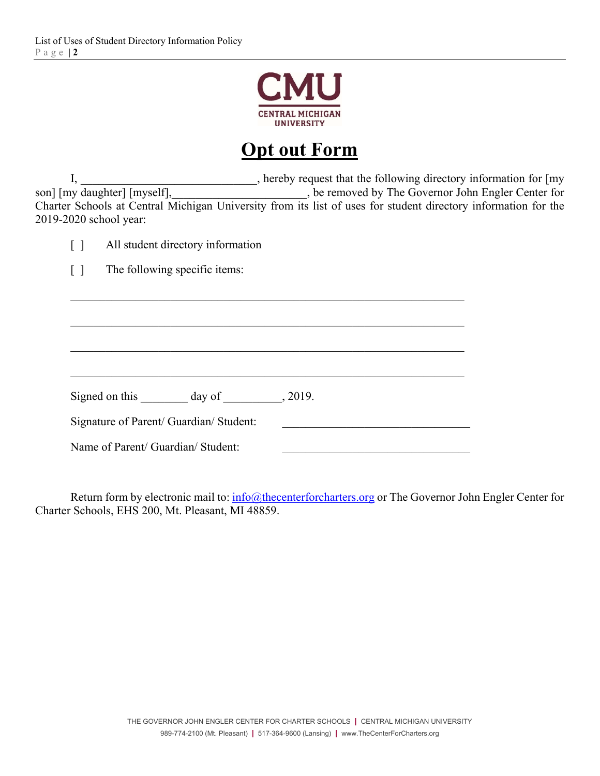

## **Opt out Form**

I, \_\_\_\_\_\_\_\_\_\_\_\_\_\_\_\_\_\_\_\_\_\_\_, hereby request that the following directory information for [my son] [my daughter] [myself], \_\_\_\_\_\_\_\_\_, be removed by The Governor John Engler Center for be removed by The Governor John Engler Center for Charter Schools at Central Michigan University from its list of uses for student directory information for the 2019-2020 school year:

[ ] The following specific items:

Signed on this day of  $\qquad \qquad$ , 2019.

Signature of Parent/ Guardian/ Student:

Name of Parent/ Guardian/ Student:

Return form by electronic mail to: info@thecenterforcharters.org or The Governor John Engler Center for Charter Schools, EHS 200, Mt. Pleasant, MI 48859.